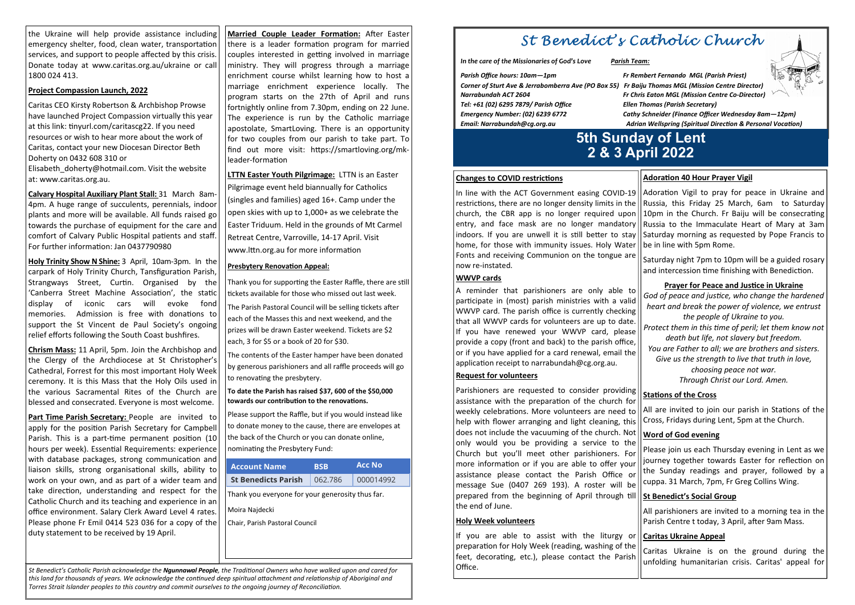# St Benedict's Catholic Church

*In the care of the Missionaries of God's Love Parish Team:* 

| Parish Office hours: 10am—1pm                             | Fr Rei |
|-----------------------------------------------------------|--------|
| Corner of Sturt Ave & Jerrabomberra Ave (PO Box 55) Fr Ba |        |
| Varrabundah ACT 2604                                      | Fr Chi |
| Tel: +61 (02) 6295 7879/ Parish Office                    | Ellen  |
| mergency Number: (02) 6239 6772                           | Cathy  |
| mail: Narrabundah@cg.org.au:                              | Adri   |

In line with the ACT Government easing COVID-19 restrictions, there are no longer density limits in the church, the CBR app is no longer required upon entry, and face mask are no longer mandatory indoors. If you are unwell it is still better to stay home, for those with immunity issues. Holy Water Fonts and receiving Communion on the tongue are now re-instated. Adoration Vigil to pray for peace in Ukraine and Russia, this Friday 25 March, 6am to Saturday 10pm in the Church. Fr Baiju will be consecrating Russia to the Immaculate Heart of Mary at 3am Saturday morning as requested by Pope Francis to be in line with 5pm Rome. Saturday night 7pm to 10pm will be a guided rosary and intercession time finishing with Benediction.

*Parish Office hours: 10am—1pm Fr Rembert Fernando MGL (Parish Priest) Corner of Sturt Ave & Jerrabomberra Ave (PO Box 55) Fr Baiju Thomas MGL (Mission Centre Director) Narrabundah ACT 2604 Fr Chris Eaton MGL (Mission Centre Co-Director)Thomas (Parish Secretary) Emergency Number: (02) 6239 6772 Cathy Schneider (Finance Officer Wednesday 8am—12pm) Email: Narrabundah@cg.org.au Adrian Wellspring (Spiritual Direc>on & Personal Voca>on)* 

# **Adoration 40 Hour Prayer Vigil**

## **Prayer for Peace and Justice in Ukraine**

# **5th Sunday of Lent2 & 3 April 2022**

#### **Changes to COVID restrictions**

#### **WWVP cards**

All parishioners are invited to a morning tea in the Parish Centre t today, 3 April, after 9am Mass.

#### **Holy Week volunteers**

A reminder that parishioners are only able to participate in (most) parish ministries with a valid WWVP card. The parish office is currently checking that all WWVP cards for volunteers are up to date. If you have renewed your WWVP card, please provide a copy (front and back) to the parish office,or if you have applied for a card renewal, email the application receipt to narrabundah@cg.org.au. **Request for volunteers** God of peace and justice, who change the hardened *heart and break the power of violence, we entrust the people of Ukraine to you.* Protect them in this time of peril; let them know not *death but life, not slavery but freedom. You are Father to all; we are brothers and sisters.Give us the strength to live that truth in love, choosing peace not war. Through Christ our Lord. Amen.* 

**Calvary Hospital Auxiliary Plant Stall:** 31 March 8am-4pm. A huge range of succulents, perennials, indoor plants and more will be available. All funds raised go towards the purchase of equipment for the care and comfort of Calvary Public Hospital patients and staff. For further information: Jan 0437790980

> Parishioners are requested to consider providing assistance with the preparation of the church for weekly celebrations. More volunteers are need to help with flower arranging and light cleaning, this does not include the vacuuming of the church. Not only would you be providing a service to the Church but you'll meet other parishioners. For more information or if you are able to offer your assistance please contact the Parish Office or message Sue (0407 269 193). A roster will be prepared from the beginning of April through till the end of June. **Stations of the Cross** All are invited to join our parish in Stations of the Cross, Fridays during Lent, 5pm at the Church. **Word of God evening** Please join us each Thursday evening in Lent as we journey together towards Easter for reflection on the Sunday readings and prayer, followed by a cuppa. 31 March, 7pm, Fr Greg Collins Wing. **St Benedict's Social Group**

> If you are able to assist with the liturgy or preparation for Holy Week (reading, washing of the feet, decorating, etc.), please contact the Parish Office. **Caritas Ukraine Appeal** Caritas Ukraine is on the ground during the unfolding humanitarian crisis. Caritas' appeal for

*St Benedict's Catholic Parish acknowledge the Ngunnawal People, the Traditional Owners who have walked upon and cared for* this land for thousands of years. We acknowledge the continued deep spiritual attachment and relationship of Aboriginal and *Torres Strait Islander peoples to this country and commit ourselves to the ongoing journey of Reconciliation.* 

Part Time Parish Secretary: People are invited to apply for the position Parish Secretary for Campbell Parish. This is a part-time permanent position (10 hours per week). Essential Requirements: experience with database packages, strong communication and liaison skills, strong organisational skills, ability to work on your own, and as part of a wider team and take direction, understanding and respect for the Catholic Church and its teaching and experience in an office environment. Salary Clerk Award Level 4 rates. Please phone Fr Emil 0414 523 036 for a copy of the duty statement to be received by 19 April.

**Married Couple Leader Formation: After Easter** there is a leader formation program for married couples interested in getting involved in marriage ministry. They will progress through a marriage enrichment course whilst learning how to host a marriage enrichment experience locally. The program starts on the 27th of April and runs fortnightly online from 7.30pm, ending on 22 June. The experience is run by the Catholic marriage apostolate, SmartLoving. There is an opportunity for two couples from our parish to take part. To find out more visit: https://smartloving.org/mkleader-formation

**LTTN Easter Youth Pilgrimage:** LTTN is an Easter Pilgrimage event held biannually for Catholics (singles and families) aged 16+. Camp under the open skies with up to 1,000+ as we celebrate the Easter Triduum. Held in the grounds of Mt Carmel Retreat Centre, Varroville, 14-17 April. Visit www.lttn.org.au for more information

#### **Presbytery Renovation Appeal:**

Thank you for supporting the Easter Raffle, there are still tickets available for those who missed out last week. The Parish Pastoral Council will be selling tickets after each of the Masses this and next weekend, and the prizes will be drawn Easter weekend. Tickets are \$2each, 3 for \$5 or a book of 20 for \$30.

The contents of the Easter hamper have been donatedby generous parishioners and all raffle proceeds will go to renovating the presbytery.

**To date the Parish has raised \$37, 600 of the \$50,000** towards our contribution to the renovations.

Please support the Raffle, but if you would instead like to donate money to the cause, there are envelopes atthe back of the Church or you can donate online, nominating the Presbytery Fund:

the Ukraine will help provide assistance including emergency shelter, food, clean water, transportation services, and support to people affected by this crisis. Donate today at www.caritas.org.au/ukraine or call 1800 024 413.

### **Project Compassion Launch, 2022**

Caritas CEO Kirsty Robertson & Archbishop Prowse have launched Project Compassion virtually this year at this link: tinyurl.com/caritascg22. If you need resources or wish to hear more about the work of Caritas, contact your new Diocesan Director Beth Doherty on 0432 608 310 or Elisabeth doherty@hotmail.com. Visit the website at: www.caritas.org.au.

**Holy Trinity Show N Shine:** 3 April, 10am-3pm. In the carpark of Holy Trinity Church, Tansfiguration Parish, Strangways Street, Curtin. Organised by the 'Canberra Street Machine Association', the static display of iconic cars will evoke fond memories. Admission is free with donations to support the St Vincent de Paul Society's ongoing relief efforts following the South Coast bushfires.

**Chrism Mass:** 11 April, 5pm. Join the Archbishop and the Clergy of the Archdiocese at St Christopher's Cathedral, Forrest for this most important Holy Week ceremony. It is this Mass that the Holy Oils used in the various Sacramental Rites of the Church are blessed and consecrated. Everyone is most welcome.

Thank you everyone for your generosity thus far.

Moira Najdecki

Chair, Parish Pastoral Council

| <b>Account Name</b>        | <b>BSB</b> | <b>Acc No</b> |
|----------------------------|------------|---------------|
| <b>St Benedicts Parish</b> | 062.786    | 000014992     |